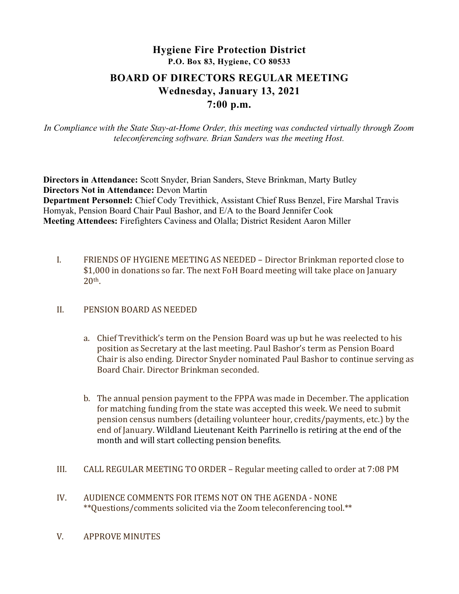# Hygiene Fire Protection District P.O. Box 83, Hygiene, CO 80533 BOARD OF DIRECTORS REGULAR MEETING Wednesday, January 13, 2021 7:00 p.m.

In Compliance with the State Stay-at-Home Order, this meeting was conducted virtually through Zoom teleconferencing software. Brian Sanders was the meeting Host.

Directors in Attendance: Scott Snyder, Brian Sanders, Steve Brinkman, Marty Butley Directors Not in Attendance: Devon Martin Department Personnel: Chief Cody Trevithick, Assistant Chief Russ Benzel, Fire Marshal Travis Homyak, Pension Board Chair Paul Bashor, and E/A to the Board Jennifer Cook Meeting Attendees: Firefighters Caviness and Olalla; District Resident Aaron Miller

I. FRIENDS OF HYGIENE MEETING AS NEEDED – Director Brinkman reported close to \$1,000 in donations so far. The next FoH Board meeting will take place on January 20th.

#### II. PENSION BOARD AS NEEDED

- a. Chief Trevithick's term on the Pension Board was up but he was reelected to his position as Secretary at the last meeting. Paul Bashor's term as Pension Board Chair is also ending. Director Snyder nominated Paul Bashor to continue serving as Board Chair. Director Brinkman seconded.
- b. The annual pension payment to the FPPA was made in December. The application for matching funding from the state was accepted this week. We need to submit pension census numbers (detailing volunteer hour, credits/payments, etc.) by the end of January. Wildland Lieutenant Keith Parrinello is retiring at the end of the month and will start collecting pension benefits.
- III. CALL REGULAR MEETING TO ORDER Regular meeting called to order at 7:08 PM
- IV. AUDIENCE COMMENTS FOR ITEMS NOT ON THE AGENDA NONE \*\*Questions/comments solicited via the Zoom teleconferencing tool.\*\*
- V. APPROVE MINUTES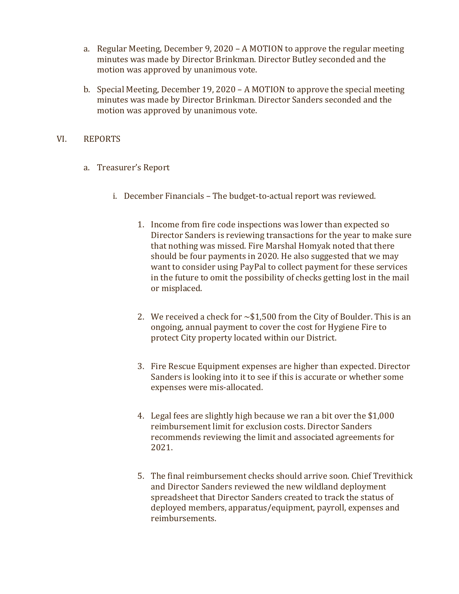- a. Regular Meeting, December 9, 2020 A MOTION to approve the regular meeting minutes was made by Director Brinkman. Director Butley seconded and the motion was approved by unanimous vote.
- b. Special Meeting, December 19, 2020 A MOTION to approve the special meeting minutes was made by Director Brinkman. Director Sanders seconded and the motion was approved by unanimous vote.

## VI. REPORTS

- a. Treasurer's Report
	- i. December Financials The budget-to-actual report was reviewed.
		- 1. Income from fire code inspections was lower than expected so Director Sanders is reviewing transactions for the year to make sure that nothing was missed. Fire Marshal Homyak noted that there should be four payments in 2020. He also suggested that we may want to consider using PayPal to collect payment for these services in the future to omit the possibility of checks getting lost in the mail or misplaced.
		- 2. We received a check for  $\sim$ \$1,500 from the City of Boulder. This is an ongoing, annual payment to cover the cost for Hygiene Fire to protect City property located within our District.
		- 3. Fire Rescue Equipment expenses are higher than expected. Director Sanders is looking into it to see if this is accurate or whether some expenses were mis-allocated.
		- 4. Legal fees are slightly high because we ran a bit over the \$1,000 reimbursement limit for exclusion costs. Director Sanders recommends reviewing the limit and associated agreements for 2021.
		- 5. The final reimbursement checks should arrive soon. Chief Trevithick and Director Sanders reviewed the new wildland deployment spreadsheet that Director Sanders created to track the status of deployed members, apparatus/equipment, payroll, expenses and reimbursements.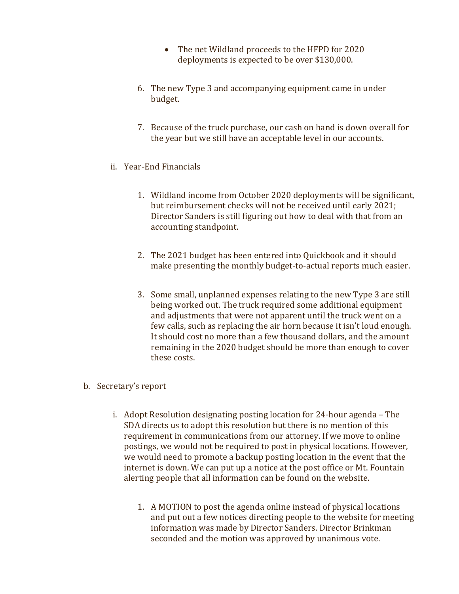- The net Wildland proceeds to the HFPD for 2020 deployments is expected to be over \$130,000.
- 6. The new Type 3 and accompanying equipment came in under budget.
- 7. Because of the truck purchase, our cash on hand is down overall for the year but we still have an acceptable level in our accounts.
- ii. Year-End Financials
	- 1. Wildland income from October 2020 deployments will be significant, but reimbursement checks will not be received until early 2021; Director Sanders is still figuring out how to deal with that from an accounting standpoint.
	- 2. The 2021 budget has been entered into Quickbook and it should make presenting the monthly budget-to-actual reports much easier.
	- 3. Some small, unplanned expenses relating to the new Type 3 are still being worked out. The truck required some additional equipment and adjustments that were not apparent until the truck went on a few calls, such as replacing the air horn because it isn't loud enough. It should cost no more than a few thousand dollars, and the amount remaining in the 2020 budget should be more than enough to cover these costs.
- b. Secretary's report
	- i. Adopt Resolution designating posting location for 24-hour agenda The SDA directs us to adopt this resolution but there is no mention of this requirement in communications from our attorney. If we move to online postings, we would not be required to post in physical locations. However, we would need to promote a backup posting location in the event that the internet is down. We can put up a notice at the post office or Mt. Fountain alerting people that all information can be found on the website.
		- 1. A MOTION to post the agenda online instead of physical locations and put out a few notices directing people to the website for meeting information was made by Director Sanders. Director Brinkman seconded and the motion was approved by unanimous vote.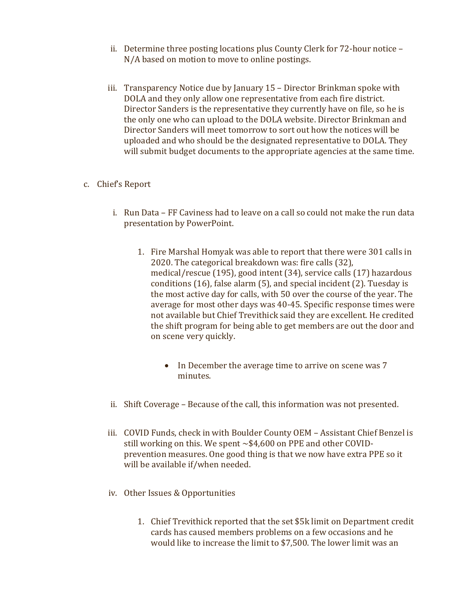- ii. Determine three posting locations plus County Clerk for 72-hour notice N/A based on motion to move to online postings.
- iii. Transparency Notice due by January 15 Director Brinkman spoke with DOLA and they only allow one representative from each fire district. Director Sanders is the representative they currently have on file, so he is the only one who can upload to the DOLA website. Director Brinkman and Director Sanders will meet tomorrow to sort out how the notices will be uploaded and who should be the designated representative to DOLA. They will submit budget documents to the appropriate agencies at the same time.

## c. Chief's Report

- i. Run Data FF Caviness had to leave on a call so could not make the run data presentation by PowerPoint.
	- 1. Fire Marshal Homyak was able to report that there were 301 calls in 2020. The categorical breakdown was: fire calls (32), medical/rescue (195), good intent (34), service calls (17) hazardous conditions (16), false alarm (5), and special incident (2). Tuesday is the most active day for calls, with 50 over the course of the year. The average for most other days was 40-45. Specific response times were not available but Chief Trevithick said they are excellent. He credited the shift program for being able to get members are out the door and on scene very quickly.
		- In December the average time to arrive on scene was 7 minutes.
- ii. Shift Coverage Because of the call, this information was not presented.
- iii. COVID Funds, check in with Boulder County OEM Assistant Chief Benzel is still working on this. We spent  $\sim $4,600$  on PPE and other COVIDprevention measures. One good thing is that we now have extra PPE so it will be available if/when needed.
- iv. Other Issues & Opportunities
	- 1. Chief Trevithick reported that the set \$5k limit on Department credit cards has caused members problems on a few occasions and he would like to increase the limit to \$7,500. The lower limit was an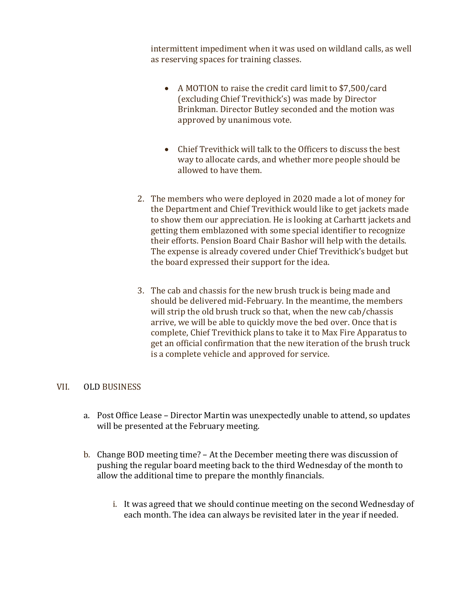intermittent impediment when it was used on wildland calls, as well as reserving spaces for training classes.

- A MOTION to raise the credit card limit to \$7,500/card (excluding Chief Trevithick's) was made by Director Brinkman. Director Butley seconded and the motion was approved by unanimous vote.
- Chief Trevithick will talk to the Officers to discuss the best way to allocate cards, and whether more people should be allowed to have them.
- 2. The members who were deployed in 2020 made a lot of money for the Department and Chief Trevithick would like to get jackets made to show them our appreciation. He is looking at Carhartt jackets and getting them emblazoned with some special identifier to recognize their efforts. Pension Board Chair Bashor will help with the details. The expense is already covered under Chief Trevithick's budget but the board expressed their support for the idea.
- 3. The cab and chassis for the new brush truck is being made and should be delivered mid-February. In the meantime, the members will strip the old brush truck so that, when the new cab/chassis arrive, we will be able to quickly move the bed over. Once that is complete, Chief Trevithick plans to take it to Max Fire Apparatus to get an official confirmation that the new iteration of the brush truck is a complete vehicle and approved for service.

## VII. OLD BUSINESS

- a. Post Office Lease Director Martin was unexpectedly unable to attend, so updates will be presented at the February meeting.
- b. Change BOD meeting time? At the December meeting there was discussion of pushing the regular board meeting back to the third Wednesday of the month to allow the additional time to prepare the monthly financials.
	- i. It was agreed that we should continue meeting on the second Wednesday of each month. The idea can always be revisited later in the year if needed.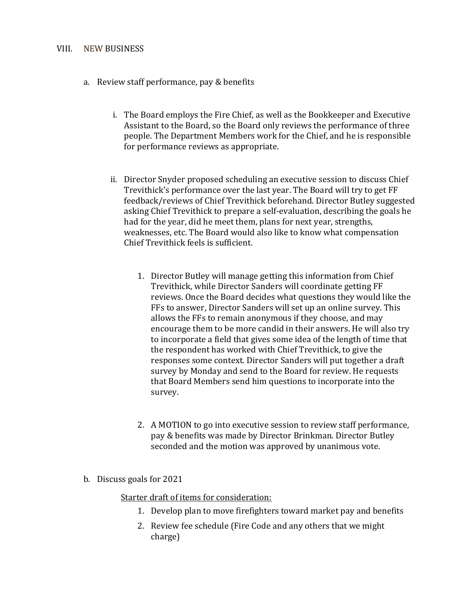#### VIII. NEW BUSINESS

- a. Review staff performance, pay & benefits
	- i. The Board employs the Fire Chief, as well as the Bookkeeper and Executive Assistant to the Board, so the Board only reviews the performance of three people. The Department Members work for the Chief, and he is responsible for performance reviews as appropriate.
	- ii. Director Snyder proposed scheduling an executive session to discuss Chief Trevithick's performance over the last year. The Board will try to get FF feedback/reviews of Chief Trevithick beforehand. Director Butley suggested asking Chief Trevithick to prepare a self-evaluation, describing the goals he had for the year, did he meet them, plans for next year, strengths, weaknesses, etc. The Board would also like to know what compensation Chief Trevithick feels is sufficient.
		- 1. Director Butley will manage getting this information from Chief Trevithick, while Director Sanders will coordinate getting FF reviews. Once the Board decides what questions they would like the FFs to answer, Director Sanders will set up an online survey. This allows the FFs to remain anonymous if they choose, and may encourage them to be more candid in their answers. He will also try to incorporate a field that gives some idea of the length of time that the respondent has worked with Chief Trevithick, to give the responses some context. Director Sanders will put together a draft survey by Monday and send to the Board for review. He requests that Board Members send him questions to incorporate into the survey.
		- 2. A MOTION to go into executive session to review staff performance, pay & benefits was made by Director Brinkman. Director Butley seconded and the motion was approved by unanimous vote.
- b. Discuss goals for 2021

Starter draft of items for consideration:

- 1. Develop plan to move firefighters toward market pay and benefits
- 2. Review fee schedule (Fire Code and any others that we might charge)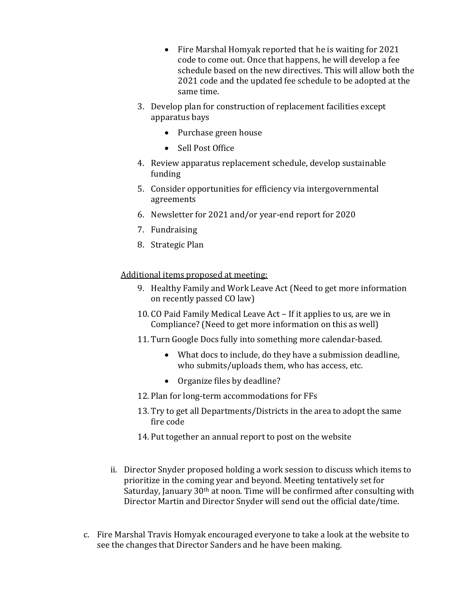- Fire Marshal Homyak reported that he is waiting for 2021 code to come out. Once that happens, he will develop a fee schedule based on the new directives. This will allow both the 2021 code and the updated fee schedule to be adopted at the same time.
- 3. Develop plan for construction of replacement facilities except apparatus bays
	- Purchase green house
	- Sell Post Office
- 4. Review apparatus replacement schedule, develop sustainable funding
- 5. Consider opportunities for efficiency via intergovernmental agreements
- 6. Newsletter for 2021 and/or year-end report for 2020
- 7. Fundraising
- 8. Strategic Plan

Additional items proposed at meeting:

- 9. Healthy Family and Work Leave Act (Need to get more information on recently passed CO law)
- 10. CO Paid Family Medical Leave Act If it applies to us, are we in Compliance? (Need to get more information on this as well)
- 11. Turn Google Docs fully into something more calendar-based.
	- What docs to include, do they have a submission deadline, who submits/uploads them, who has access, etc.
	- Organize files by deadline?
- 12. Plan for long-term accommodations for FFs
- 13. Try to get all Departments/Districts in the area to adopt the same fire code
- 14. Put together an annual report to post on the website
- ii. Director Snyder proposed holding a work session to discuss which items to prioritize in the coming year and beyond. Meeting tentatively set for Saturday, January 30th at noon. Time will be confirmed after consulting with Director Martin and Director Snyder will send out the official date/time.
- c. Fire Marshal Travis Homyak encouraged everyone to take a look at the website to see the changes that Director Sanders and he have been making.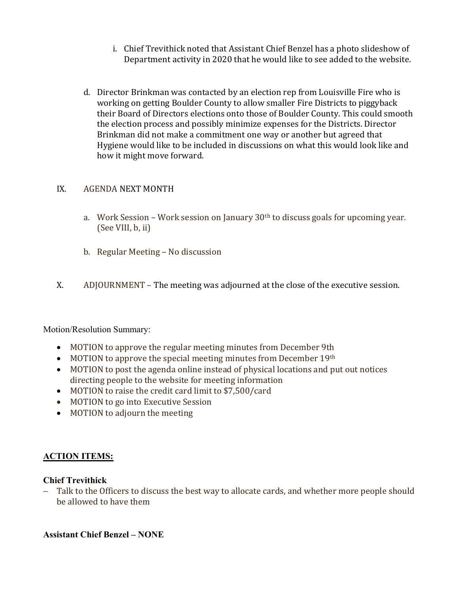- i. Chief Trevithick noted that Assistant Chief Benzel has a photo slideshow of Department activity in 2020 that he would like to see added to the website.
- d. Director Brinkman was contacted by an election rep from Louisville Fire who is working on getting Boulder County to allow smaller Fire Districts to piggyback their Board of Directors elections onto those of Boulder County. This could smooth the election process and possibly minimize expenses for the Districts. Director Brinkman did not make a commitment one way or another but agreed that Hygiene would like to be included in discussions on what this would look like and how it might move forward.

## IX. AGENDA NEXT MONTH

- a. Work Session Work session on January  $30<sup>th</sup>$  to discuss goals for upcoming year. (See VIII, b, ii)
- b. Regular Meeting No discussion
- X. ADJOURNMENT The meeting was adjourned at the close of the executive session.

Motion/Resolution Summary:

- MOTION to approve the regular meeting minutes from December 9th
- $\bullet$  MOTION to approve the special meeting minutes from December 19th
- MOTION to post the agenda online instead of physical locations and put out notices directing people to the website for meeting information
- MOTION to raise the credit card limit to \$7,500/card
- MOTION to go into Executive Session
- MOTION to adjourn the meeting

## ACTION ITEMS:

## Chief Trevithick

- Talk to the Officers to discuss the best way to allocate cards, and whether more people should be allowed to have them

Assistant Chief Benzel – NONE